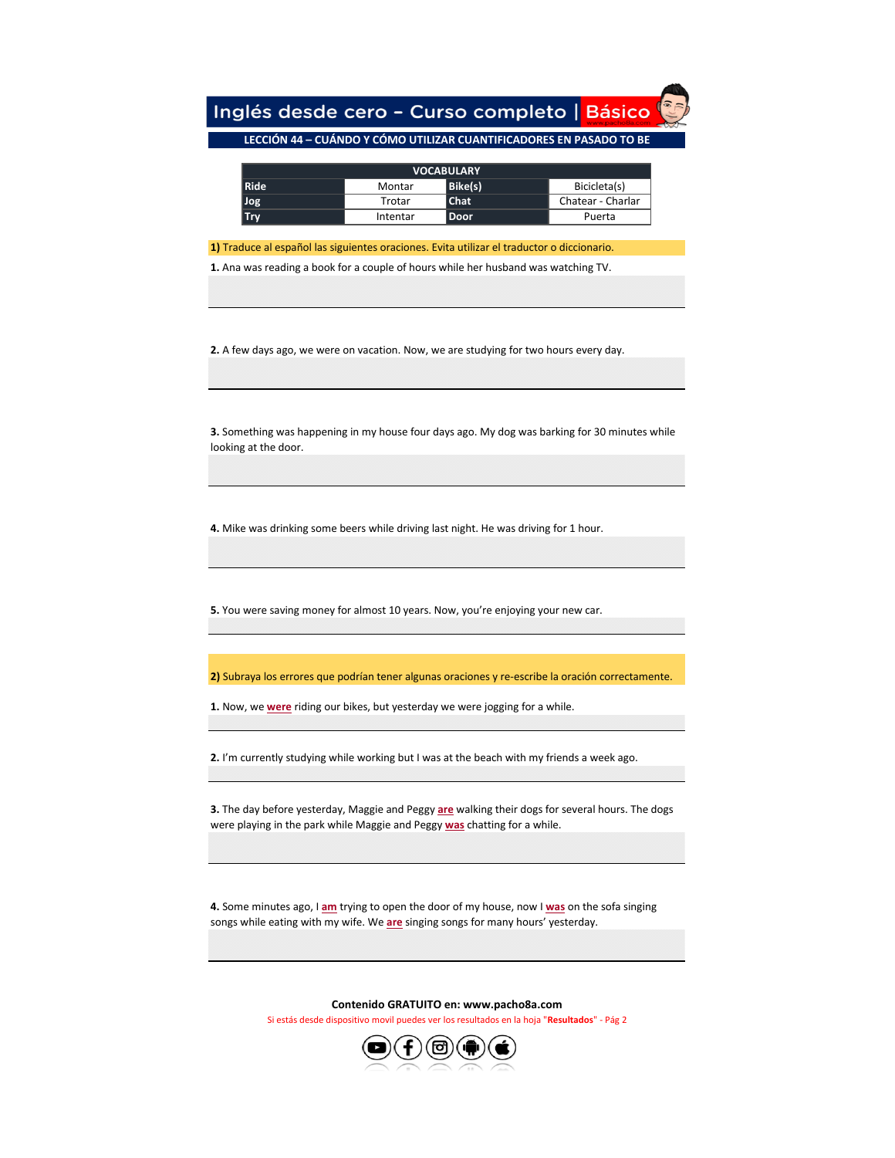Inglés desde cero - Curso completo | Básico

## **LECCIÓN 44 – CUÁNDO Y CÓMO UTILIZAR CUANTIFICADORES EN PASADO TO BE**

| <b>VOCABULARY</b> |          |             |                   |  |
|-------------------|----------|-------------|-------------------|--|
| <b>Ride</b>       | Montar   | Bike(s)     | Bicicleta(s)      |  |
| Jog               | Trotar   | <b>Chat</b> | Chatear - Charlar |  |
| <b>Try</b>        | Intentar | Door        | Puerta            |  |

**1)** Traduce al español las siguientes oraciones. Evita utilizar el traductor o diccionario.

**1.** Ana was reading a book for a couple of hours while her husband was watching TV.

**2.** A few days ago, we were on vacation. Now, we are studying for two hours every day.

**3.** Something was happening in my house four days ago. My dog was barking for 30 minutes while looking at the door.

**4.** Mike was drinking some beers while driving last night. He was driving for 1 hour.

**5.** You were saving money for almost 10 years. Now, you're enjoying your new car.

**2)** Subraya los errores que podrían tener algunas oraciones y re-escribe la oración correctamente.

**1.** Now, we **were** riding our bikes, but yesterday we were jogging for a while.

**2.** I'm currently studying while working but I was at the beach with my friends a week ago.

**3.** The day before yesterday, Maggie and Peggy **are** walking their dogs for several hours. The dogs were playing in the park while Maggie and Peggy **was** chatting for a while.

**4.** Some minutes ago, I **am** trying to open the door of my house, now I **was** on the sofa singing songs while eating with my wife. We **are** singing songs for many hours' yesterday.

**Contenido GRATUITO en: www.pacho8a.com**

Si estás desde dispositivo movil puedes ver los resultados en la hoja "**Resultados**" - Pág 2